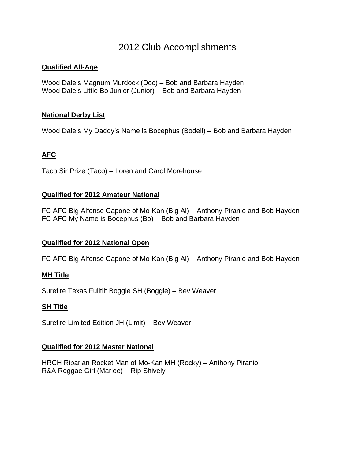# 2012 Club Accomplishments

### **Qualified All-Age**

Wood Dale's Magnum Murdock (Doc) – Bob and Barbara Hayden Wood Dale's Little Bo Junior (Junior) – Bob and Barbara Hayden

### **National Derby List**

Wood Dale's My Daddy's Name is Bocephus (Bodell) – Bob and Barbara Hayden

## **AFC**

Taco Sir Prize (Taco) – Loren and Carol Morehouse

#### **Qualified for 2012 Amateur National**

FC AFC Big Alfonse Capone of Mo-Kan (Big Al) – Anthony Piranio and Bob Hayden FC AFC My Name is Bocephus (Bo) – Bob and Barbara Hayden

## **Qualified for 2012 National Open**

FC AFC Big Alfonse Capone of Mo-Kan (Big Al) – Anthony Piranio and Bob Hayden

#### **MH Title**

Surefire Texas Fulltilt Boggie SH (Boggie) – Bev Weaver

#### **SH Title**

Surefire Limited Edition JH (Limit) – Bev Weaver

## **Qualified for 2012 Master National**

HRCH Riparian Rocket Man of Mo-Kan MH (Rocky) – Anthony Piranio R&A Reggae Girl (Marlee) – Rip Shively